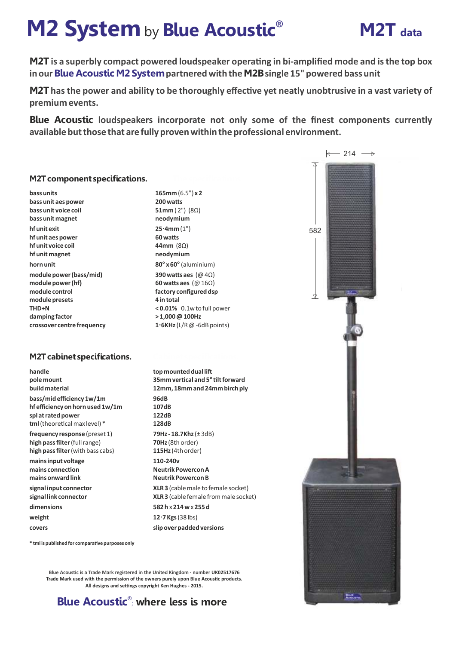# **M2 System** by **Blue Acoustic** M2T data



**M2T** is a superbly compact powered loudspeaker operating in bi-amplified mode and is the top box **in our Blue Acoustic M2 Systempartnered with the M2Bsingle 15" powered bass unit**

**M2T** has the power and ability to be thoroughly effective yet neatly unobtrusive in a vast variety of **premium events.**

**Blue Acoustic loudspeakers incorporate not only some of the finest components currently available but those that are fully proven within the professional environment.**

## **M2Tcomponent specifications.**

**bass units bass unit aes power bass unit voice coil bass unit magnet hf unit exit hf unit aes power hf unit voice coil hf unit magnet horn unit module power (bass/mid) module power (hf) module control module presets THD+N damping factor crossover centre frequency**

## **M2Tcabinet specifications.**

**handle pole mount build material bass/mid efficiency 1w/1m hf efficiency on horn used 1w/1m spl at rated power** tml (theoretical max level) \* **frequency response** (preset 1) **high pass filter**(full range) **high pass filter** (with bass cabs) **mains input voltage** mains connection **mains onward link**

**signal input connector signal link connector** dimensions **weight covers**

**165mm** (6.5") **x 2 200 watts 51mm** ( 2") (8Ω) **neodymium 25·4mm** (1") **60 was 44mm** (8Ω) **neodymium 80° x 60°** (aluminium) **390 watts aes** (@ 4Ω) **60 watts aes** (@ 16Ω) **factory configured dsp 4 in total < 0.01%** 0.1w to full power **> 1,000 @ 100Hz 1·6KHz** (L/R @ -6dB points)

**top mounted dual li 35mm vercal and 5°lt forward 12mm, 18mm and 24mm birch ply ..... 96dB 107dB 122dB 128dB 79Hz - 18.7Khz** (± 3dB) **70Hz** (8th order) **115Hz** (4th order) **110-240v Neutrik Powercon A Neutrik Powercon B XLR 3** (cable male to female socket) **XLR 3** (cable female from male socket) **582 h** x **214 w** x **255 d 12·7 Kgs** (38 lbs) **slip over padded versions**

 $*$  **tml is published for comparative purposes only** 

**Blue Acoustic is a Trade Mark registered in the United Kingdom - number UK02517676 Trade Mark used with the permission of the owners purely upon Blue Acoustic products.** All designs and settings copyright Ken Hughes - 2015.



**Blue Acoustic<sup>®</sup>; where less is more**